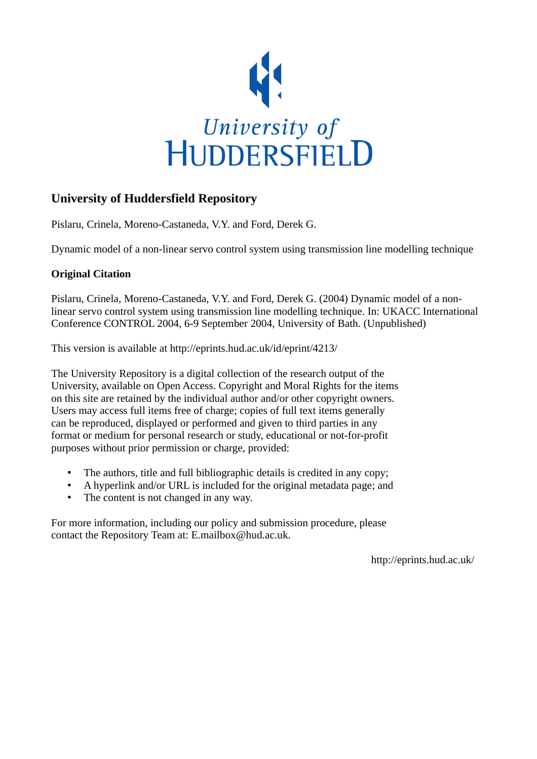

# **University of Huddersfield Repository**

Pislaru, Crinela, Moreno-Castaneda, V.Y. and Ford, Derek G.

Dynamic model of a non-linear servo control system using transmission line modelling technique

## **Original Citation**

Pislaru, Crinela, Moreno-Castaneda, V.Y. and Ford, Derek G. (2004) Dynamic model of a nonlinear servo control system using transmission line modelling technique. In: UKACC International Conference CONTROL 2004, 6-9 September 2004, University of Bath. (Unpublished)

This version is available at http://eprints.hud.ac.uk/id/eprint/4213/

The University Repository is a digital collection of the research output of the University, available on Open Access. Copyright and Moral Rights for the items on this site are retained by the individual author and/or other copyright owners. Users may access full items free of charge; copies of full text items generally can be reproduced, displayed or performed and given to third parties in any format or medium for personal research or study, educational or not-for-profit purposes without prior permission or charge, provided:

- The authors, title and full bibliographic details is credited in any copy;
- A hyperlink and/or URL is included for the original metadata page; and
- The content is not changed in any way.

For more information, including our policy and submission procedure, please contact the Repository Team at: E.mailbox@hud.ac.uk.

http://eprints.hud.ac.uk/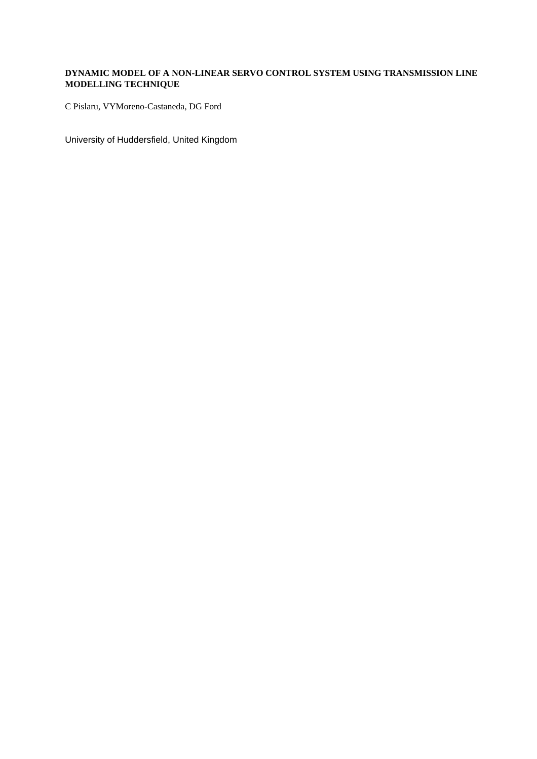## **DYNAMIC MODEL OF A NON-LINEAR SERVO CONTROL SYSTEM USING TRANSMISSION LINE MODELLING TECHNIQUE**

C Pislaru, VYMoreno-Castaneda, DG Ford

University of Huddersfield, United Kingdom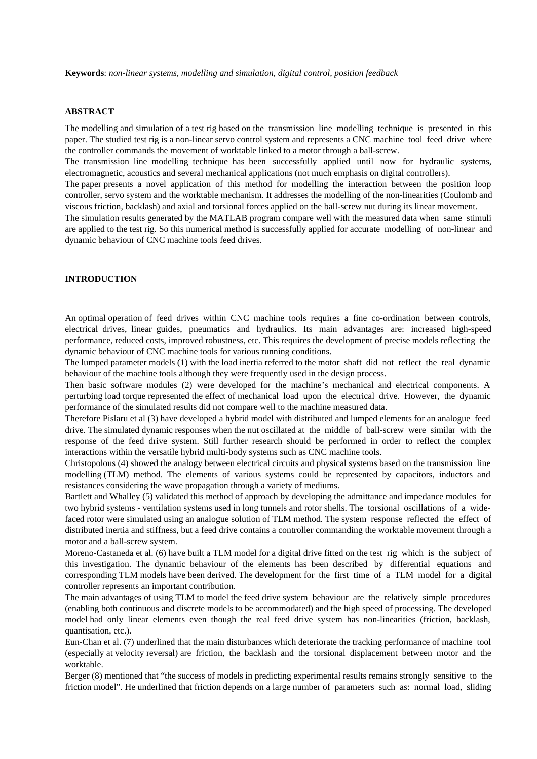**Keywords**: *non-linear systems, modelling and simulation, digital control, position feedback*

#### **ABSTRACT**

The modelling and simulation of a test rig based on the transmission line modelling technique is presented in this paper. The studied test rig is a non-linear servo control system and represents a CNC machine tool feed drive where the controller commands the movement of worktable linked to a motor through a ball-screw.

The transmission line modelling technique has been successfully applied until now for hydraulic systems, electromagnetic, acoustics and several mechanical applications (not much emphasis on digital controllers).

The paper presents a novel application of this method for modelling the interaction between the position loop controller, servo system and the worktable mechanism. It addresses the modelling of the non-linearities (Coulomb and viscous friction, backlash) and axial and torsional forces applied on the ball-screw nut during its linear movement.

The simulation results generated by the MATLAB program compare well with the measured data when same stimuli are applied to the test rig. So this numerical method is successfully applied for accurate modelling of non-linear and dynamic behaviour of CNC machine tools feed drives.

#### **INTRODUCTION**

An optimal operation of feed drives within CNC machine tools requires a fine co-ordination between controls, electrical drives, linear guides, pneumatics and hydraulics. Its main advantages are: increased high-speed performance, reduced costs, improved robustness, etc. This requires the development of precise models reflecting the dynamic behaviour of CNC machine tools for various running conditions.

The lumped parameter models (1) with the load inertia referred to the motor shaft did not reflect the real dynamic behaviour of the machine tools although they were frequently used in the design process.

Then basic software modules (2) were developed for the machine's mechanical and electrical components. A perturbing load torque represented the effect of mechanical load upon the electrical drive. However, the dynamic performance of the simulated results did not compare well to the machine measured data.

Therefore Pislaru et al (3) have developed a hybrid model with distributed and lumped elements for an analogue feed drive. The simulated dynamic responses when the nut oscillated at the middle of ball-screw were similar with the response of the feed drive system. Still further research should be performed in order to reflect the complex interactions within the versatile hybrid multi-body systems such as CNC machine tools.

Christopolous (4) showed the analogy between electrical circuits and physical systems based on the transmission line modelling (TLM) method. The elements of various systems could be represented by capacitors, inductors and resistances considering the wave propagation through a variety of mediums.

Bartlett and Whalley (5) validated this method of approach by developing the admittance and impedance modules for two hybrid systems - ventilation systems used in long tunnels and rotor shells. The torsional oscillations of a widefaced rotor were simulated using an analogue solution of TLM method. The system response reflected the effect of distributed inertia and stiffness, but a feed drive contains a controller commanding the worktable movement through a motor and a ball-screw system.

Moreno-Castaneda et al. (6) have built a TLM model for a digital drive fitted on the test rig which is the subject of this investigation. The dynamic behaviour of the elements has been described by differential equations and corresponding TLM models have been derived. The development for the first time of a TLM model for a digital controller represents an important contribution.

The main advantages of using TLM to model the feed drive system behaviour are the relatively simple procedures (enabling both continuous and discrete models to be accommodated) and the high speed of processing. The developed model had only linear elements even though the real feed drive system has non-linearities (friction, backlash, quantisation, etc.).

Eun-Chan et al. (7) underlined that the main disturbances which deteriorate the tracking performance of machine tool (especially at velocity reversal) are friction, the backlash and the torsional displacement between motor and the worktable.

Berger (8) mentioned that "the success of models in predicting experimental results remains strongly sensitive to the friction model". He underlined that friction depends on a large number of parameters such as: normal load, sliding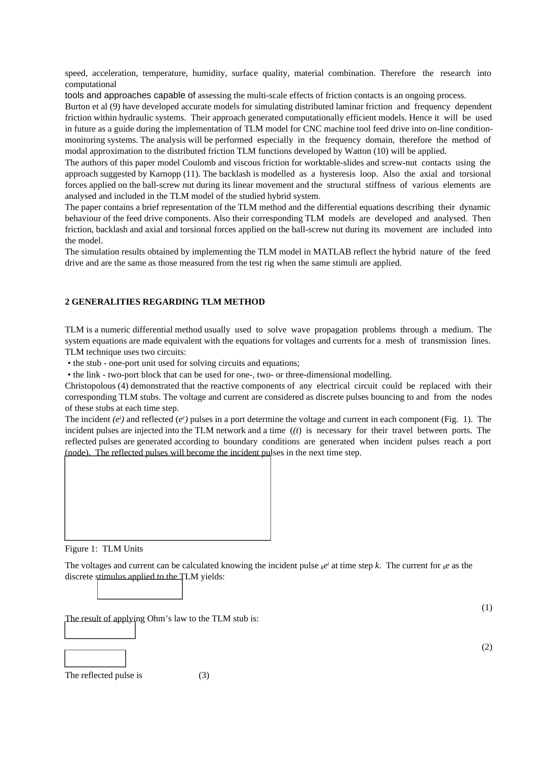speed, acceleration, temperature, humidity, surface quality, material combination. Therefore the research into computational

tools and approaches capable of assessing the multi-scale effects of friction contacts is an ongoing process.

Burton et al (9) have developed accurate models for simulating distributed laminar friction and frequency dependent friction within hydraulic systems. Their approach generated computationally efficient models. Hence it will be used in future as a guide during the implementation of TLM model for CNC machine tool feed drive into on-line conditionmonitoring systems. The analysis will be performed especially in the frequency domain, therefore the method of modal approximation to the distributed friction TLM functions developed by Watton (10) will be applied.

The authors of this paper model Coulomb and viscous friction for worktable-slides and screw-nut contacts using the approach suggested by Karnopp (11). The backlash is modelled as a hysteresis loop. Also the axial and torsional forces applied on the ball-screw nut during its linear movement and the structural stiffness of various elements are analysed and included in the TLM model of the studied hybrid system.

The paper contains a brief representation of the TLM method and the differential equations describing their dynamic behaviour of the feed drive components. Also their corresponding TLM models are developed and analysed. Then friction, backlash and axial and torsional forces applied on the ball-screw nut during its movement are included into the model.

The simulation results obtained by implementing the TLM model in MATLAB reflect the hybrid nature of the feed drive and are the same as those measured from the test rig when the same stimuli are applied.

## **2 GENERALITIES REGARDING TLM METHOD**

TLM is a numeric differential method usually used to solve wave propagation problems through a medium. The system equations are made equivalent with the equations for voltages and currents for a mesh of transmission lines. TLM technique uses two circuits:

• the stub - one-port unit used for solving circuits and equations;

• the link - two-port block that can be used for one-, two- or three-dimensional modelling.

Christopolous (4) demonstrated that the reactive components of any electrical circuit could be replaced with their corresponding TLM stubs. The voltage and current are considered as discrete pulses bouncing to and from the nodes of these stubs at each time step.

The incident  $(e^i)$  and reflected  $(e^r)$  pulses in a port determine the voltage and current in each component (Fig. 1). The incident pulses are injected into the TLM network and a time (*(t*) is necessary for their travel between ports. The reflected pulses are generated according to boundary conditions are generated when incident pulses reach a port (node). The reflected pulses will become the incident pulses in the next time step.



The voltages and current can be calculated knowing the incident pulse  $_{k}e^{i}$  at time step *k*. The current for  $_{k}e$  as the discrete stimulus applied to the TLM yields:

The result of applying Ohm's law to the TLM stub is:



The reflected pulse is (3)

(2)

(1)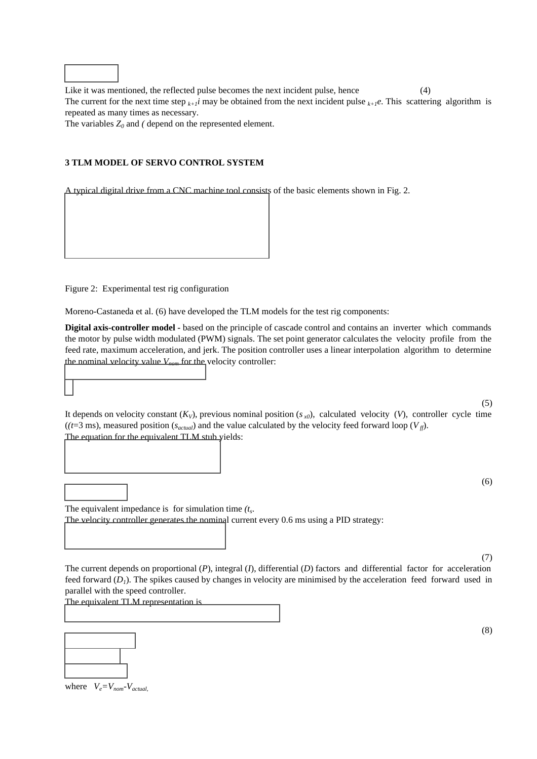Like it was mentioned, the reflected pulse becomes the next incident pulse, hence (4) The current for the next time step  $_{k+1}i$  may be obtained from the next incident pulse  $_{k+1}e$ . This scattering algorithm is repeated as many times as necessary.

The variables  $Z_0$  and *(* depend on the represented element.

#### **3 TLM MODEL OF SERVO CONTROL SYSTEM**

A typical digital drive from a CNC machine tool consists of the basic elements shown in Fig. 2.

Figure 2: Experimental test rig configuration

Moreno-Castaneda et al. (6) have developed the TLM models for the test rig components:

The velocity controller generates the nominal current every 0.6 ms using a PID strategy:

**Digital axis-controller model -** based on the principle of cascade control and contains an inverter which commands the motor by pulse width modulated (PWM) signals. The set point generator calculates the velocity profile from the feed rate, maximum acceleration, and jerk. The position controller uses a linear interpolation algorithm to determine the nominal velocity value  $V_{n,m}$  for the velocity controller:

It depends on velocity constant  $(K_V)$ , previous nominal position  $(s_{x0})$ , calculated velocity  $(V)$ , controller cycle time  $((t=3 \text{ ms})$ , measured position  $(s_{actual})$  and the value calculated by the velocity feed forward loop  $(V_f)$ . The equation for the equivalent TLM stub yields:

(6)

(5)

The current depends on proportional (*P*), integral (*I*), differential (*D*) factors anddifferential factor for acceleration feed forward  $(D_1)$ . The spikes caused by changes in velocity are minimised by the acceleration feed forward used in

parallel with the speed controller.

The equivalent TLM representation is

The equivalent impedance is for simulation time *(t<sup>s</sup>* .



(8)

(7)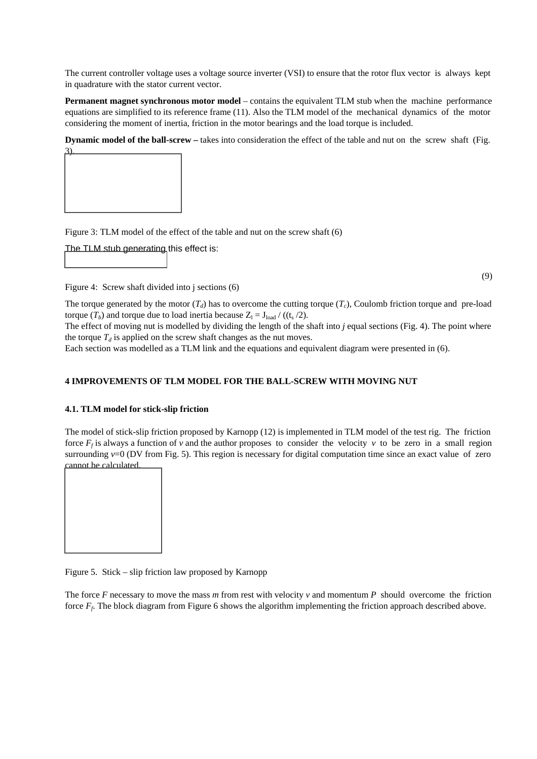The current controller voltage uses a voltage source inverter (VSI) to ensure that the rotor flux vector is always kept in quadrature with the stator current vector.

**Permanent magnet synchronous motor model** – contains the equivalent TLM stub when the machine performance equations are simplified to its reference frame (11). Also the TLM model of the mechanical dynamics of the motor considering the moment of inertia, friction in the motor bearings and the load torque is included.

**Dynamic model of the ball-screw – takes into consideration the effect of the table and nut on the screw shaft (Fig.** 



Figure 3: TLM model of the effect of the table and nut on the screw shaft (6)

The TLM stub generating this effect is:



(9)

Figure 4: Screw shaft divided into j sections (6)

The torque generated by the motor  $(T_d)$  has to overcome the cutting torque  $(T_c)$ , Coulomb friction torque and pre-load torque  $(T_b)$  and torque due to load inertia because  $Z_l = J_{load} / ((t_s / 2)$ .

The effect of moving nut is modelled by dividing the length of the shaft into *j* equal sections (Fig. 4). The point where the torque  $T_d$  is applied on the screw shaft changes as the nut moves.

Each section was modelled as a TLM link and the equations and equivalent diagram were presented in (6).

#### **4 IMPROVEMENTS OF TLM MODEL FOR THE BALL-SCREW WITH MOVING NUT**

#### **4.1. TLM model for stick-slip friction**

The model of stick-slip friction proposed by Karnopp (12) is implemented in TLM model of the test rig. The friction force  $F_f$  is always a function of *v* and the author proposes to consider the velocity *v* to be zero in a small region surrounding  $v=0$  (DV from Fig. 5). This region is necessary for digital computation time since an exact value of zero cannot be calculated.



Figure 5. Stick – slip friction law proposed by Karnopp

The force *F* necessary to move the mass *m* from rest with velocity *v* and momentum *P* should overcome the friction force  $F_f$ . The block diagram from Figure 6 shows the algorithm implementing the friction approach described above.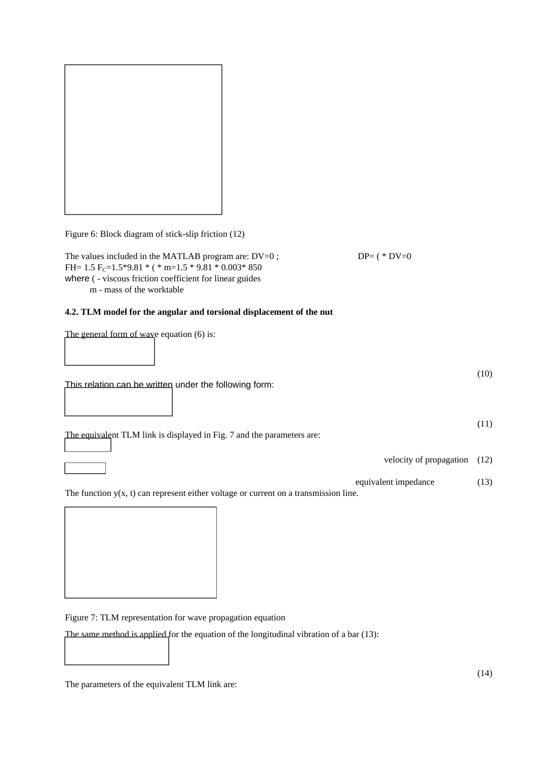Figure 6: Block diagram of stick-slip friction (12)

The values included in the MATLAB program are:  $DV=0$ ;  $DP = (*DV=0)$ FH=  $1.5$  F<sub>C</sub>= $1.5*9.81 *$  ( \* m= $1.5 * 9.81 * 0.003 * 850$ where ( - viscous friction coefficient for linear guides m - mass of the worktable

## **4.2. TLM model for the angular and torsional displacement of the nut**

The general form of wave equation (6) is:

This relation can be written under the following form:

The equivalent TLM link is displayed in Fig. 7 and the parameters are:

velocity of propagation (12)

equivalent impedance (13)

The function  $y(x, t)$  can represent either voltage or current on a transmission line.

Figure 7: TLM representation for wave propagation equation

The same method is applied for the equation of the longitudinal vibration of a bar (13):

The parameters of the equivalent TLM link are:

(10)

(11)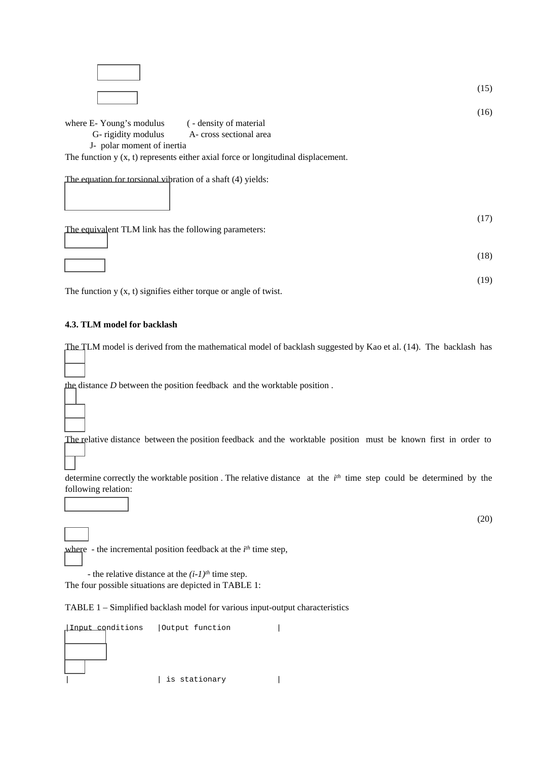

The equation for torsional vibration of a shaft (4) yields:

 (17) The equivalent TLM link has the following parameters:

 (18) (19)

The function y  $(x, t)$  signifies either torque or angle of twist.

## **4.3. TLM model for backlash**

The TLM model is derived from the mathematical model of backlash suggested by Kao et al. (14). The backlash has

the distance *D* between the position feedback and the worktable position .

The relative distance between the position feedback and the worktable position must be known first in order to

determine correctly the worktable position. The relative distance at the  $i<sup>th</sup>$  time step could be determined by the following relation:

where - the incremental position feedback at the *i*<sup>th</sup> time step,

 - the relative distance at the *(i-1)th* time step. The four possible situations are depicted in TABLE 1:

TABLE 1 – Simplified backlash model for various input-output characteristics

| Input conditions | Output function |  |
|------------------|-----------------|--|
|                  |                 |  |
|                  |                 |  |
|                  |                 |  |
|                  | is stationary   |  |

(20)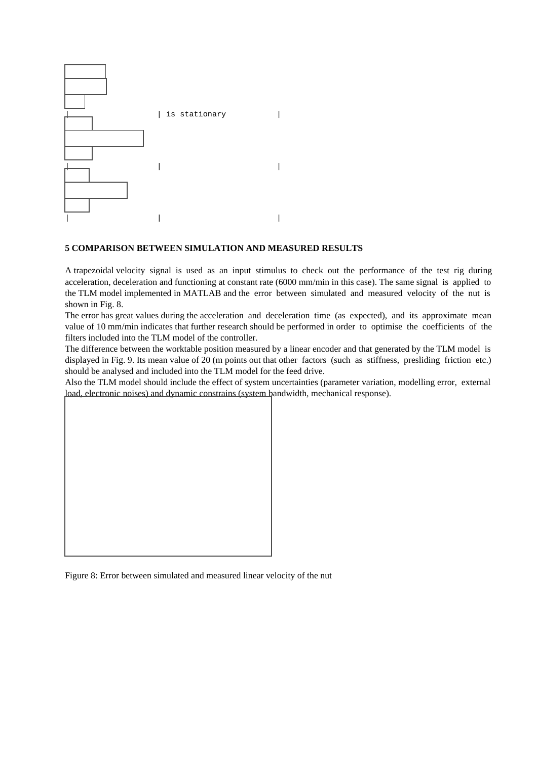

#### **5 COMPARISON BETWEEN SIMULATION AND MEASURED RESULTS**

A trapezoidal velocity signal is used as an input stimulus to check out the performance of the test rig during acceleration, deceleration and functioning at constant rate (6000 mm/min in this case). The same signal is applied to the TLM model implemented in MATLAB and the error between simulated and measured velocity of the nut is shown in Fig. 8.

The error has great values during the acceleration and deceleration time (as expected), and its approximate mean value of 10 mm/min indicates that further research should be performed in order to optimise the coefficients of the filters included into the TLM model of the controller.

The difference between the worktable position measured by a linear encoder and that generated by the TLM model is displayed in Fig. 9. Its mean value of 20 (m points out that other factors (such as stiffness, presliding friction etc.) should be analysed and included into the TLM model for the feed drive.

Also the TLM model should include the effect of system uncertainties (parameter variation, modelling error, external load, electronic noises) and dynamic constrains (system bandwidth, mechanical response).

Figure 8: Error between simulated and measured linear velocity of the nut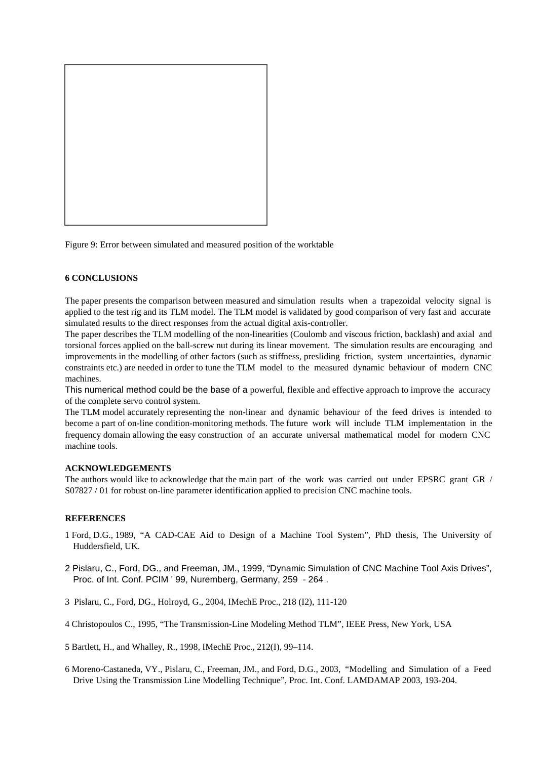

Figure 9: Error between simulated and measured position of the worktable

#### **6 CONCLUSIONS**

The paper presents the comparison between measured and simulation results when a trapezoidal velocity signal is applied to the test rig and its TLM model. The TLM model is validated by good comparison of very fast and accurate simulated results to the direct responses from the actual digital axis-controller.

The paper describes the TLM modelling of the non-linearities (Coulomb and viscous friction, backlash) and axial and torsional forces applied on the ball-screw nut during its linear movement. The simulation results are encouraging and improvements in the modelling of other factors (such as stiffness, presliding friction, system uncertainties, dynamic constraints etc.) are needed in order to tune the TLM model to the measured dynamic behaviour of modern CNC machines.

This numerical method could be the base of a powerful, flexible and effective approach to improve the accuracy of the complete servo control system.

The TLM model accurately representing the non-linear and dynamic behaviour of the feed drives is intended to become a part of on-line condition-monitoring methods. The future work will include TLM implementation in the frequency domain allowing the easy construction of an accurate universal mathematical model for modern CNC machine tools.

#### **ACKNOWLEDGEMENTS**

The authors would like to acknowledge that the main part of the work was carried out under EPSRC grant GR / S07827 / 01 for robust on-line parameter identification applied to precision CNC machine tools.

#### **REFERENCES**

- 1 Ford, D.G., 1989, "A CAD-CAE Aid to Design of a Machine Tool System", PhD thesis, The University of Huddersfield, UK.
- 2 Pislaru, C., Ford, DG., and Freeman, JM., 1999, "Dynamic Simulation of CNC Machine Tool Axis Drives", Proc. of Int. Conf. PCIM ' 99, Nuremberg, Germany, 259 - 264 .
- 3 Pislaru, C., Ford, DG., Holroyd, G., 2004, IMechE Proc., 218 (I2), 111-120
- 4 Christopoulos C., 1995, "The Transmission-Line Modeling Method TLM", IEEE Press, New York, USA
- 5 Bartlett, H., and Whalley, R., 1998, IMechE Proc., 212(I), 99–114.
- 6 Moreno-Castaneda, VY., Pislaru, C., Freeman, JM., and Ford, D.G., 2003, "Modelling and Simulation of a Feed Drive Using the Transmission Line Modelling Technique", Proc. Int. Conf. LAMDAMAP 2003, 193-204.